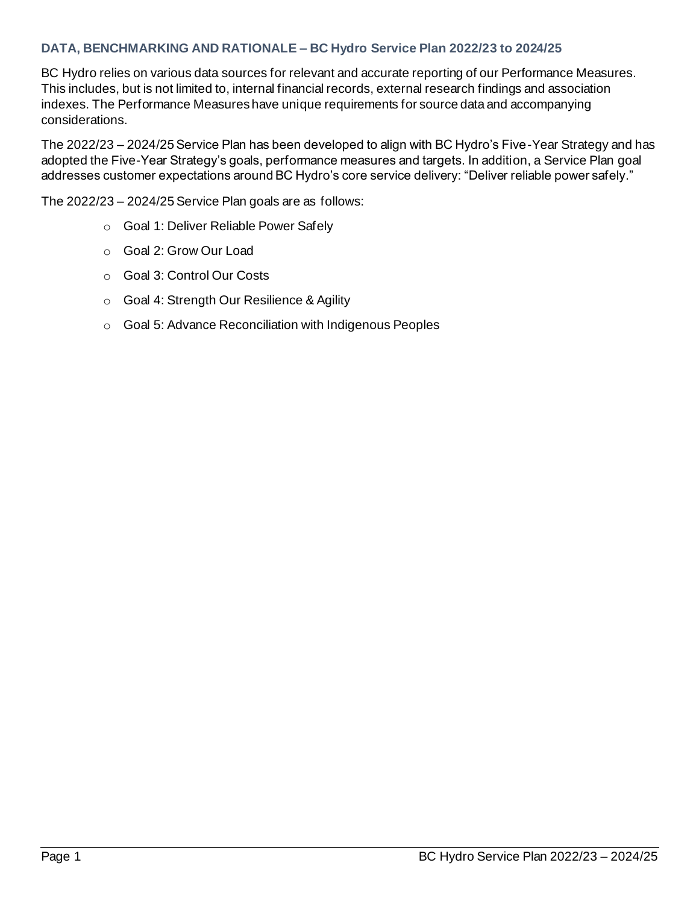## **DATA, BENCHMARKING AND RATIONALE – BC Hydro Service Plan 2022/23 to 2024/25**

BC Hydro relies on various data sources for relevant and accurate reporting of our Performance Measures. This includes, but is not limited to, internal financial records, external research findings and association indexes. The Performance Measures have unique requirements for source data and accompanying considerations.

The 2022/23 – 2024/25 Service Plan has been developed to align with BC Hydro's Five-Year Strategy and has adopted the Five-Year Strategy's goals, performance measures and targets. In addition, a Service Plan goal addresses customer expectations around BC Hydro's core service delivery: "Deliver reliable power safely."

The 2022/23 – 2024/25Service Plan goals are as follows:

- o Goal 1: Deliver Reliable Power Safely
- o Goal 2: Grow Our Load
- o Goal 3: Control Our Costs
- o Goal 4: Strength Our Resilience & Agility
- o Goal 5: Advance Reconciliation with Indigenous Peoples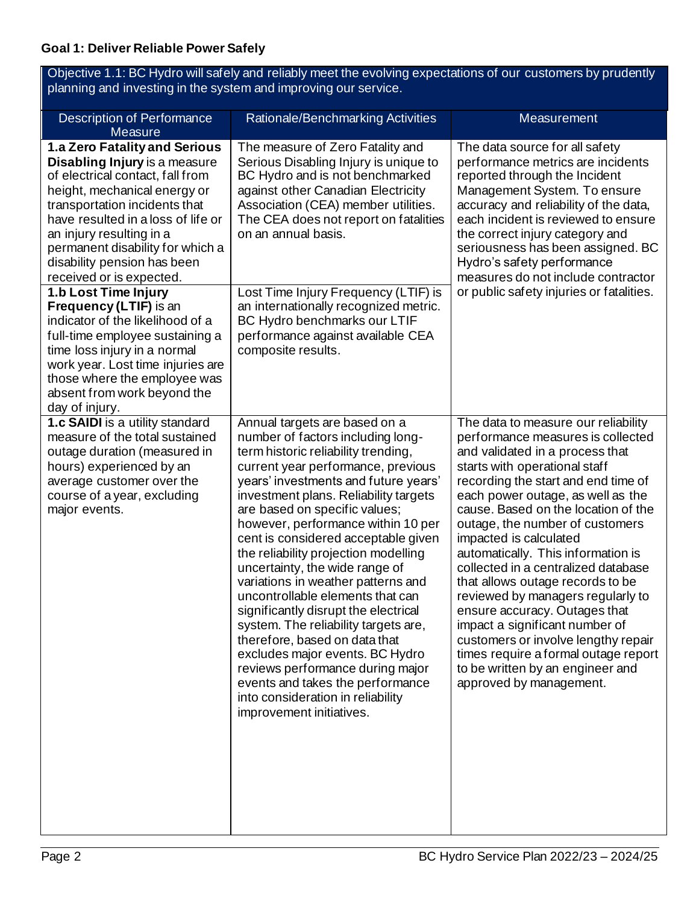| Objective 1.1: BC Hydro will safely and reliably meet the evolving expectations of our customers by prudently<br>planning and investing in the system and improving our service.                                                                                                                                                                                                                                                                                                                                                                                                                  |                                                                                                                                                                                                                                                                                                                                                                                                                                                                                                                                                                                                                                                                                                                                                                                                 |                                                                                                                                                                                                                                                                                                                                                                                                                                                                                                                                                                                                                                                                                                     |  |
|---------------------------------------------------------------------------------------------------------------------------------------------------------------------------------------------------------------------------------------------------------------------------------------------------------------------------------------------------------------------------------------------------------------------------------------------------------------------------------------------------------------------------------------------------------------------------------------------------|-------------------------------------------------------------------------------------------------------------------------------------------------------------------------------------------------------------------------------------------------------------------------------------------------------------------------------------------------------------------------------------------------------------------------------------------------------------------------------------------------------------------------------------------------------------------------------------------------------------------------------------------------------------------------------------------------------------------------------------------------------------------------------------------------|-----------------------------------------------------------------------------------------------------------------------------------------------------------------------------------------------------------------------------------------------------------------------------------------------------------------------------------------------------------------------------------------------------------------------------------------------------------------------------------------------------------------------------------------------------------------------------------------------------------------------------------------------------------------------------------------------------|--|
| <b>Description of Performance</b><br>Measure                                                                                                                                                                                                                                                                                                                                                                                                                                                                                                                                                      | Rationale/Benchmarking Activities                                                                                                                                                                                                                                                                                                                                                                                                                                                                                                                                                                                                                                                                                                                                                               | Measurement                                                                                                                                                                                                                                                                                                                                                                                                                                                                                                                                                                                                                                                                                         |  |
| 1.a Zero Fatality and Serious<br>Disabling Injury is a measure<br>of electrical contact, fall from<br>height, mechanical energy or<br>transportation incidents that<br>have resulted in a loss of life or<br>an injury resulting in a<br>permanent disability for which a<br>disability pension has been<br>received or is expected.<br>1.b Lost Time Injury<br>Frequency (LTIF) is an<br>indicator of the likelihood of a<br>full-time employee sustaining a<br>time loss injury in a normal<br>work year. Lost time injuries are<br>those where the employee was<br>absent from work beyond the | The measure of Zero Fatality and<br>Serious Disabling Injury is unique to<br>BC Hydro and is not benchmarked<br>against other Canadian Electricity<br>Association (CEA) member utilities.<br>The CEA does not report on fatalities<br>on an annual basis.<br>Lost Time Injury Frequency (LTIF) is<br>an internationally recognized metric.<br>BC Hydro benchmarks our LTIF<br>performance against available CEA<br>composite results.                                                                                                                                                                                                                                                                                                                                                           | The data source for all safety<br>performance metrics are incidents<br>reported through the Incident<br>Management System. To ensure<br>accuracy and reliability of the data,<br>each incident is reviewed to ensure<br>the correct injury category and<br>seriousness has been assigned. BC<br>Hydro's safety performance<br>measures do not include contractor<br>or public safety injuries or fatalities.                                                                                                                                                                                                                                                                                        |  |
| day of injury.<br>1.c SAIDI is a utility standard<br>measure of the total sustained<br>outage duration (measured in<br>hours) experienced by an<br>average customer over the<br>course of a year, excluding<br>major events.                                                                                                                                                                                                                                                                                                                                                                      | Annual targets are based on a<br>number of factors including long-<br>term historic reliability trending,<br>current year performance, previous<br>years' investments and future years'<br>investment plans. Reliability targets<br>are based on specific values;<br>however, performance within 10 per<br>cent is considered acceptable given<br>the reliability projection modelling<br>uncertainty, the wide range of<br>variations in weather patterns and<br>uncontrollable elements that can<br>significantly disrupt the electrical<br>system. The reliability targets are,<br>therefore, based on data that<br>excludes major events. BC Hydro<br>reviews performance during major<br>events and takes the performance<br>into consideration in reliability<br>improvement initiatives. | The data to measure our reliability<br>performance measures is collected<br>and validated in a process that<br>starts with operational staff<br>recording the start and end time of<br>each power outage, as well as the<br>cause. Based on the location of the<br>outage, the number of customers<br>impacted is calculated<br>automatically. This information is<br>collected in a centralized database<br>that allows outage records to be<br>reviewed by managers regularly to<br>ensure accuracy. Outages that<br>impact a significant number of<br>customers or involve lengthy repair<br>times require a formal outage report<br>to be written by an engineer and<br>approved by management. |  |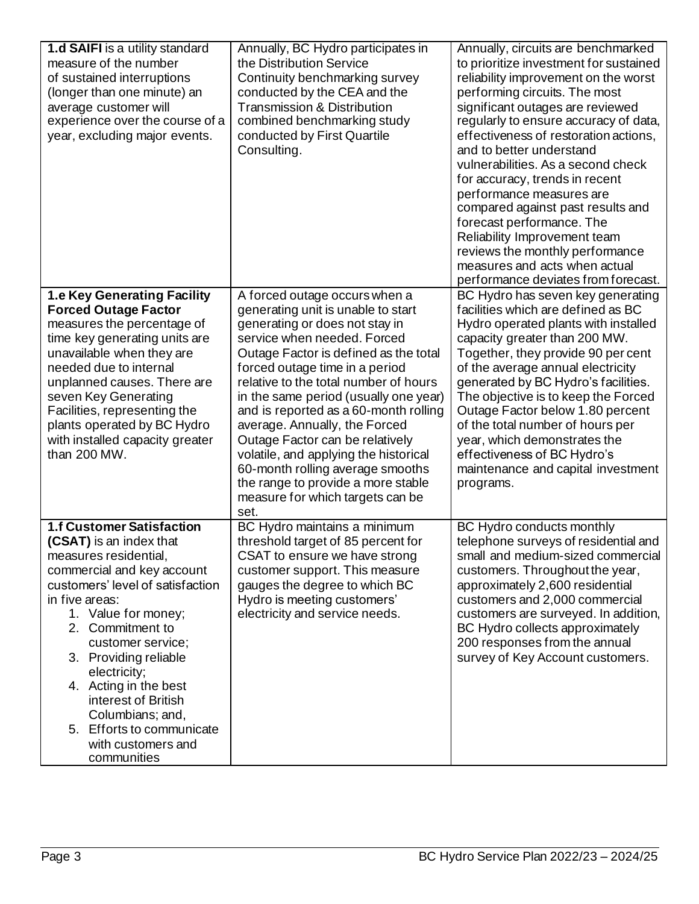| <b>1.d SAIFI</b> is a utility standard<br>measure of the number<br>of sustained interruptions<br>(longer than one minute) an<br>average customer will<br>experience over the course of a<br>year, excluding major events.                                                                                                                                                                                               | Annually, BC Hydro participates in<br>the Distribution Service<br>Continuity benchmarking survey<br>conducted by the CEA and the<br><b>Transmission &amp; Distribution</b><br>combined benchmarking study<br>conducted by First Quartile<br>Consulting.                                                                                                                                                                                                                                                                                                                       | Annually, circuits are benchmarked<br>to prioritize investment for sustained<br>reliability improvement on the worst<br>performing circuits. The most<br>significant outages are reviewed<br>regularly to ensure accuracy of data,<br>effectiveness of restoration actions,<br>and to better understand<br>vulnerabilities. As a second check<br>for accuracy, trends in recent<br>performance measures are<br>compared against past results and<br>forecast performance. The<br>Reliability Improvement team<br>reviews the monthly performance<br>measures and acts when actual<br>performance deviates from forecast. |
|-------------------------------------------------------------------------------------------------------------------------------------------------------------------------------------------------------------------------------------------------------------------------------------------------------------------------------------------------------------------------------------------------------------------------|-------------------------------------------------------------------------------------------------------------------------------------------------------------------------------------------------------------------------------------------------------------------------------------------------------------------------------------------------------------------------------------------------------------------------------------------------------------------------------------------------------------------------------------------------------------------------------|--------------------------------------------------------------------------------------------------------------------------------------------------------------------------------------------------------------------------------------------------------------------------------------------------------------------------------------------------------------------------------------------------------------------------------------------------------------------------------------------------------------------------------------------------------------------------------------------------------------------------|
| <b>1.e Key Generating Facility</b><br><b>Forced Outage Factor</b><br>measures the percentage of<br>time key generating units are<br>unavailable when they are<br>needed due to internal<br>unplanned causes. There are<br>seven Key Generating<br>Facilities, representing the<br>plants operated by BC Hydro<br>with installed capacity greater<br>than 200 MW.                                                        | A forced outage occurs when a<br>generating unit is unable to start<br>generating or does not stay in<br>service when needed. Forced<br>Outage Factor is defined as the total<br>forced outage time in a period<br>relative to the total number of hours<br>in the same period (usually one year)<br>and is reported as a 60-month rolling<br>average. Annually, the Forced<br>Outage Factor can be relatively<br>volatile, and applying the historical<br>60-month rolling average smooths<br>the range to provide a more stable<br>measure for which targets can be<br>set. | BC Hydro has seven key generating<br>facilities which are defined as BC<br>Hydro operated plants with installed<br>capacity greater than 200 MW.<br>Together, they provide 90 per cent<br>of the average annual electricity<br>generated by BC Hydro's facilities.<br>The objective is to keep the Forced<br>Outage Factor below 1.80 percent<br>of the total number of hours per<br>year, which demonstrates the<br>effectiveness of BC Hydro's<br>maintenance and capital investment<br>programs.                                                                                                                      |
| <b>1.f Customer Satisfaction</b><br>(CSAT) is an index that<br>measures residential,<br>commercial and key account<br>customers' level of satisfaction<br>in five areas:<br>1. Value for money;<br>2. Commitment to<br>customer service;<br>3. Providing reliable<br>electricity;<br>4. Acting in the best<br>interest of British<br>Columbians; and,<br>5. Efforts to communicate<br>with customers and<br>communities | BC Hydro maintains a minimum<br>threshold target of 85 percent for<br>CSAT to ensure we have strong<br>customer support. This measure<br>gauges the degree to which BC<br>Hydro is meeting customers'<br>electricity and service needs.                                                                                                                                                                                                                                                                                                                                       | BC Hydro conducts monthly<br>telephone surveys of residential and<br>small and medium-sized commercial<br>customers. Throughout the year,<br>approximately 2,600 residential<br>customers and 2,000 commercial<br>customers are surveyed. In addition,<br>BC Hydro collects approximately<br>200 responses from the annual<br>survey of Key Account customers.                                                                                                                                                                                                                                                           |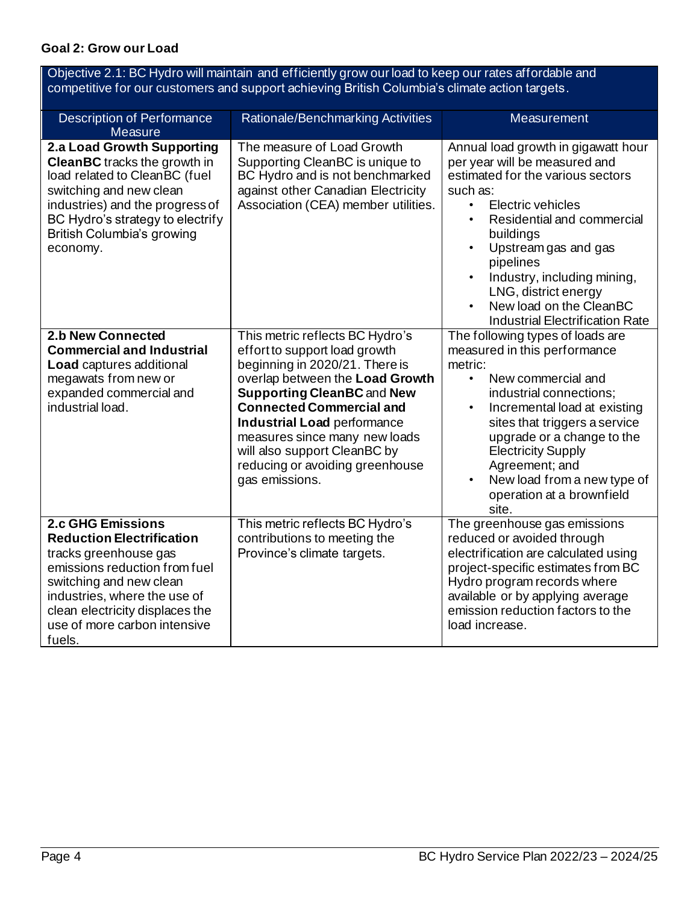## **Goal 2: Grow our Load**

| Objective 2.1: BC Hydro will maintain and efficiently grow our load to keep our rates affordable and<br>competitive for our customers and support achieving British Columbia's climate action targets.                                                         |                                                                                                                                                                                                                                                                                                                                                                           |                                                                                                                                                                                                                                                                                                                                                                                                            |  |
|----------------------------------------------------------------------------------------------------------------------------------------------------------------------------------------------------------------------------------------------------------------|---------------------------------------------------------------------------------------------------------------------------------------------------------------------------------------------------------------------------------------------------------------------------------------------------------------------------------------------------------------------------|------------------------------------------------------------------------------------------------------------------------------------------------------------------------------------------------------------------------------------------------------------------------------------------------------------------------------------------------------------------------------------------------------------|--|
| <b>Description of Performance</b><br>Measure                                                                                                                                                                                                                   | Rationale/Benchmarking Activities                                                                                                                                                                                                                                                                                                                                         | <b>Measurement</b>                                                                                                                                                                                                                                                                                                                                                                                         |  |
| 2.a Load Growth Supporting<br><b>CleanBC</b> tracks the growth in<br>load related to CleanBC (fuel<br>switching and new clean<br>industries) and the progress of<br>BC Hydro's strategy to electrify<br>British Columbia's growing<br>economy.                 | The measure of Load Growth<br>Supporting CleanBC is unique to<br>BC Hydro and is not benchmarked<br>against other Canadian Electricity<br>Association (CEA) member utilities.                                                                                                                                                                                             | Annual load growth in gigawatt hour<br>per year will be measured and<br>estimated for the various sectors<br>such as:<br>Electric vehicles<br>$\bullet$<br>Residential and commercial<br>$\bullet$<br>buildings<br>Upstream gas and gas<br>$\bullet$<br>pipelines<br>Industry, including mining,<br>$\bullet$<br>LNG, district energy<br>New load on the CleanBC<br><b>Industrial Electrification Rate</b> |  |
| <b>2.b New Connected</b><br><b>Commercial and Industrial</b><br><b>Load</b> captures additional<br>megawats from new or<br>expanded commercial and<br>industrial load.                                                                                         | This metric reflects BC Hydro's<br>effort to support load growth<br>beginning in 2020/21. There is<br>overlap between the Load Growth<br><b>Supporting CleanBC and New</b><br><b>Connected Commercial and</b><br><b>Industrial Load performance</b><br>measures since many new loads<br>will also support CleanBC by<br>reducing or avoiding greenhouse<br>gas emissions. | The following types of loads are<br>measured in this performance<br>metric:<br>New commercial and<br>$\bullet$<br>industrial connections;<br>Incremental load at existing<br>$\bullet$<br>sites that triggers a service<br>upgrade or a change to the<br><b>Electricity Supply</b><br>Agreement; and<br>New load from a new type of<br>$\bullet$<br>operation at a brownfield<br>site.                     |  |
| <b>2.c GHG Emissions</b><br><b>Reduction Electrification</b><br>tracks greenhouse gas<br>emissions reduction from fuel<br>switching and new clean<br>industries, where the use of<br>clean electricity displaces the<br>use of more carbon intensive<br>fuels. | This metric reflects BC Hydro's<br>contributions to meeting the<br>Province's climate targets.                                                                                                                                                                                                                                                                            | The greenhouse gas emissions<br>reduced or avoided through<br>electrification are calculated using<br>project-specific estimates from BC<br>Hydro program records where<br>available or by applying average<br>emission reduction factors to the<br>load increase.                                                                                                                                         |  |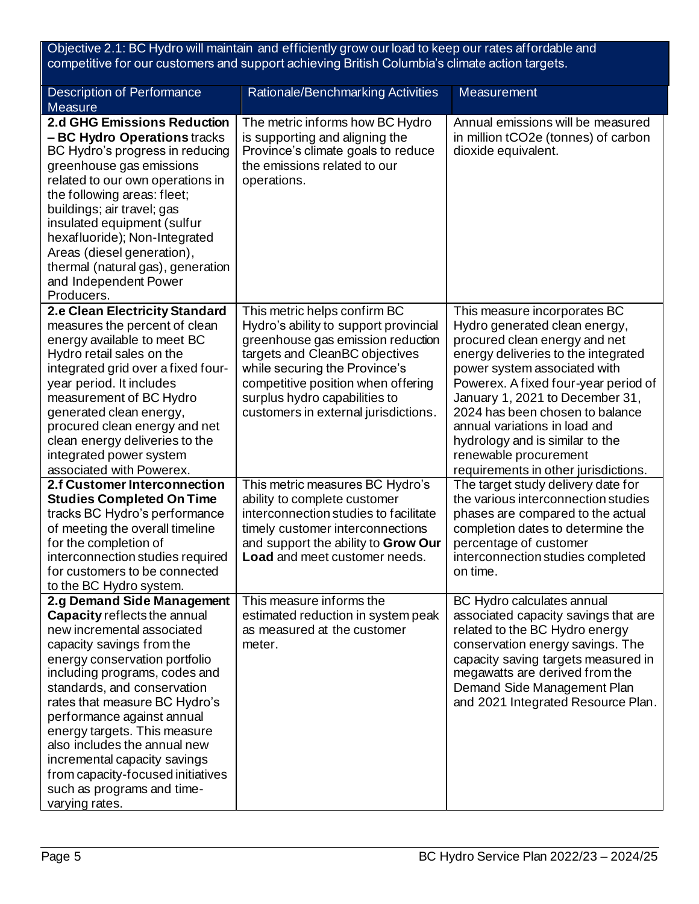Objective 2.1: BC Hydro will maintain and efficiently grow our load to keep our rates affordable and competitive for our customers and support achieving British Columbia's climate action targets.

| <b>Description of Performance</b><br><b>Measure</b>                                                                                                                                                                                                                                                                                                                                                                                                                        | Rationale/Benchmarking Activities                                                                                                                                                                                                                                                            | Measurement                                                                                                                                                                                                                                                                                                                                                                                                              |
|----------------------------------------------------------------------------------------------------------------------------------------------------------------------------------------------------------------------------------------------------------------------------------------------------------------------------------------------------------------------------------------------------------------------------------------------------------------------------|----------------------------------------------------------------------------------------------------------------------------------------------------------------------------------------------------------------------------------------------------------------------------------------------|--------------------------------------------------------------------------------------------------------------------------------------------------------------------------------------------------------------------------------------------------------------------------------------------------------------------------------------------------------------------------------------------------------------------------|
| <b>2.d GHG Emissions Reduction</b><br>- BC Hydro Operations tracks<br>BC Hydro's progress in reducing<br>greenhouse gas emissions<br>related to our own operations in<br>the following areas: fleet;<br>buildings; air travel; gas<br>insulated equipment (sulfur<br>hexafluoride); Non-Integrated<br>Areas (diesel generation),<br>thermal (natural gas), generation<br>and Independent Power<br>Producers.                                                               | The metric informs how BC Hydro<br>is supporting and aligning the<br>Province's climate goals to reduce<br>the emissions related to our<br>operations.                                                                                                                                       | Annual emissions will be measured<br>in million tCO2e (tonnes) of carbon<br>dioxide equivalent.                                                                                                                                                                                                                                                                                                                          |
| 2.e Clean Electricity Standard<br>measures the percent of clean<br>energy available to meet BC<br>Hydro retail sales on the<br>integrated grid over a fixed four-<br>year period. It includes<br>measurement of BC Hydro<br>generated clean energy,<br>procured clean energy and net<br>clean energy deliveries to the<br>integrated power system<br>associated with Powerex.                                                                                              | This metric helps confirm BC<br>Hydro's ability to support provincial<br>greenhouse gas emission reduction<br>targets and CleanBC objectives<br>while securing the Province's<br>competitive position when offering<br>surplus hydro capabilities to<br>customers in external jurisdictions. | This measure incorporates BC<br>Hydro generated clean energy,<br>procured clean energy and net<br>energy deliveries to the integrated<br>power system associated with<br>Powerex. A fixed four-year period of<br>January 1, 2021 to December 31,<br>2024 has been chosen to balance<br>annual variations in load and<br>hydrology and is similar to the<br>renewable procurement<br>requirements in other jurisdictions. |
| <b>2.f Customer Interconnection</b><br><b>Studies Completed On Time</b><br>tracks BC Hydro's performance<br>of meeting the overall timeline<br>for the completion of<br>interconnection studies required<br>for customers to be connected<br>to the BC Hydro system.                                                                                                                                                                                                       | This metric measures BC Hydro's<br>ability to complete customer<br>interconnection studies to facilitate<br>timely customer interconnections<br>and support the ability to Grow Our<br><b>Load</b> and meet customer needs.                                                                  | The target study delivery date for<br>the various interconnection studies<br>phases are compared to the actual<br>completion dates to determine the<br>percentage of customer<br>interconnection studies completed<br>on time.                                                                                                                                                                                           |
| 2.g Demand Side Management<br>Capacity reflects the annual<br>new incremental associated<br>capacity savings from the<br>energy conservation portfolio<br>including programs, codes and<br>standards, and conservation<br>rates that measure BC Hydro's<br>performance against annual<br>energy targets. This measure<br>also includes the annual new<br>incremental capacity savings<br>from capacity-focused initiatives<br>such as programs and time-<br>varying rates. | This measure informs the<br>estimated reduction in system peak<br>as measured at the customer<br>meter.                                                                                                                                                                                      | BC Hydro calculates annual<br>associated capacity savings that are<br>related to the BC Hydro energy<br>conservation energy savings. The<br>capacity saving targets measured in<br>megawatts are derived from the<br>Demand Side Management Plan<br>and 2021 Integrated Resource Plan.                                                                                                                                   |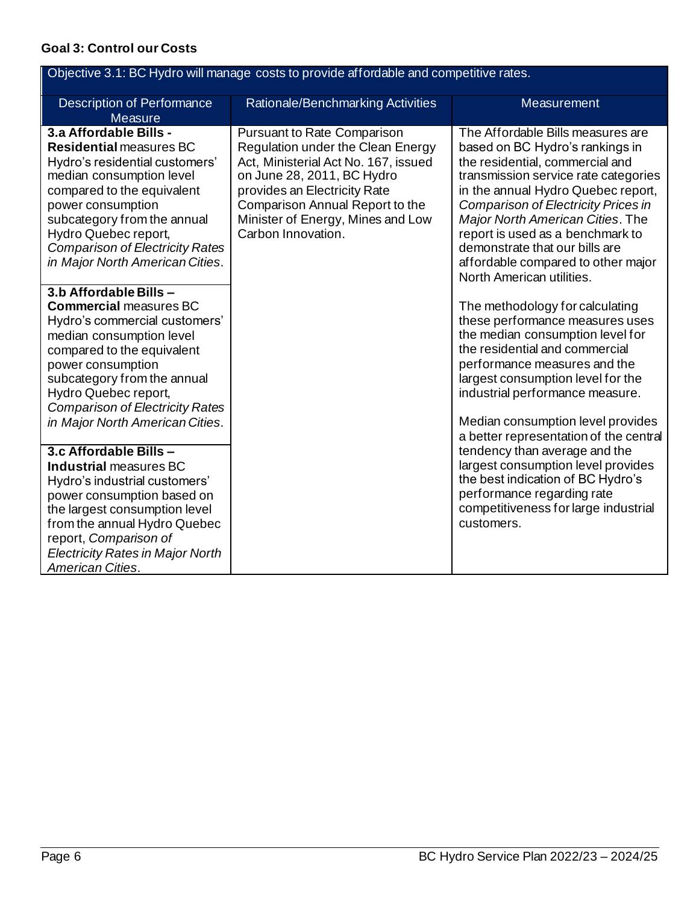## **Goal 3: Control our Costs**

| Objective 3.1: BC Hydro will manage costs to provide affordable and competitive rates.                                                                                                                                                                                                                                                  |                                                                                                                                                                                                                                                                             |                                                                                                                                                                                                                                                                                                                                                                                                                  |  |
|-----------------------------------------------------------------------------------------------------------------------------------------------------------------------------------------------------------------------------------------------------------------------------------------------------------------------------------------|-----------------------------------------------------------------------------------------------------------------------------------------------------------------------------------------------------------------------------------------------------------------------------|------------------------------------------------------------------------------------------------------------------------------------------------------------------------------------------------------------------------------------------------------------------------------------------------------------------------------------------------------------------------------------------------------------------|--|
| <b>Description of Performance</b><br><b>Measure</b>                                                                                                                                                                                                                                                                                     | Rationale/Benchmarking Activities                                                                                                                                                                                                                                           | Measurement                                                                                                                                                                                                                                                                                                                                                                                                      |  |
| 3.a Affordable Bills -<br><b>Residential measures BC</b><br>Hydro's residential customers'<br>median consumption level<br>compared to the equivalent<br>power consumption<br>subcategory from the annual<br>Hydro Quebec report,<br><b>Comparison of Electricity Rates</b><br>in Major North American Cities.<br>3.b Affordable Bills - | <b>Pursuant to Rate Comparison</b><br>Regulation under the Clean Energy<br>Act, Ministerial Act No. 167, issued<br>on June 28, 2011, BC Hydro<br>provides an Electricity Rate<br>Comparison Annual Report to the<br>Minister of Energy, Mines and Low<br>Carbon Innovation. | The Affordable Bills measures are<br>based on BC Hydro's rankings in<br>the residential, commercial and<br>transmission service rate categories<br>in the annual Hydro Quebec report,<br><b>Comparison of Electricity Prices in</b><br>Major North American Cities. The<br>report is used as a benchmark to<br>demonstrate that our bills are<br>affordable compared to other major<br>North American utilities. |  |
| <b>Commercial measures BC</b><br>Hydro's commercial customers'<br>median consumption level<br>compared to the equivalent<br>power consumption<br>subcategory from the annual<br>Hydro Quebec report,<br><b>Comparison of Electricity Rates</b><br>in Major North American Cities.                                                       |                                                                                                                                                                                                                                                                             | The methodology for calculating<br>these performance measures uses<br>the median consumption level for<br>the residential and commercial<br>performance measures and the<br>largest consumption level for the<br>industrial performance measure.<br>Median consumption level provides<br>a better representation of the central                                                                                  |  |
| 3.c Affordable Bills -<br><b>Industrial measures BC</b><br>Hydro's industrial customers'<br>power consumption based on<br>the largest consumption level<br>from the annual Hydro Quebec<br>report, Comparison of<br><b>Electricity Rates in Major North</b><br><b>American Cities.</b>                                                  |                                                                                                                                                                                                                                                                             | tendency than average and the<br>largest consumption level provides<br>the best indication of BC Hydro's<br>performance regarding rate<br>competitiveness for large industrial<br>customers.                                                                                                                                                                                                                     |  |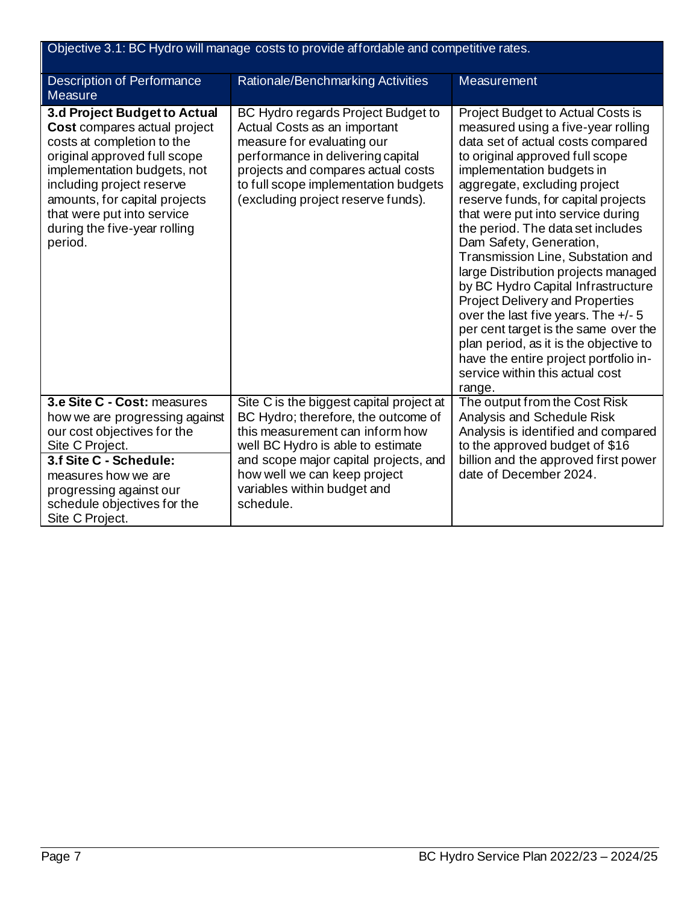| Objective 3.1: BC Hydro will manage costs to provide affordable and competitive rates.                                                                                                                                                                                                           |                                                                                                                                                                                                                                                                              |                                                                                                                                                                                                                                                                                                                                                                                                                                                                                                                                                                                                                                                                                                                                     |  |
|--------------------------------------------------------------------------------------------------------------------------------------------------------------------------------------------------------------------------------------------------------------------------------------------------|------------------------------------------------------------------------------------------------------------------------------------------------------------------------------------------------------------------------------------------------------------------------------|-------------------------------------------------------------------------------------------------------------------------------------------------------------------------------------------------------------------------------------------------------------------------------------------------------------------------------------------------------------------------------------------------------------------------------------------------------------------------------------------------------------------------------------------------------------------------------------------------------------------------------------------------------------------------------------------------------------------------------------|--|
| <b>Description of Performance</b><br><b>Measure</b>                                                                                                                                                                                                                                              | Rationale/Benchmarking Activities                                                                                                                                                                                                                                            | <b>Measurement</b>                                                                                                                                                                                                                                                                                                                                                                                                                                                                                                                                                                                                                                                                                                                  |  |
| 3.d Project Budget to Actual<br>Cost compares actual project<br>costs at completion to the<br>original approved full scope<br>implementation budgets, not<br>including project reserve<br>amounts, for capital projects<br>that were put into service<br>during the five-year rolling<br>period. | BC Hydro regards Project Budget to<br>Actual Costs as an important<br>measure for evaluating our<br>performance in delivering capital<br>projects and compares actual costs<br>to full scope implementation budgets<br>(excluding project reserve funds).                    | Project Budget to Actual Costs is<br>measured using a five-year rolling<br>data set of actual costs compared<br>to original approved full scope<br>implementation budgets in<br>aggregate, excluding project<br>reserve funds, for capital projects<br>that were put into service during<br>the period. The data set includes<br>Dam Safety, Generation,<br>Transmission Line, Substation and<br>large Distribution projects managed<br>by BC Hydro Capital Infrastructure<br><b>Project Delivery and Properties</b><br>over the last five years. The +/- 5<br>per cent target is the same over the<br>plan period, as it is the objective to<br>have the entire project portfolio in-<br>service within this actual cost<br>range. |  |
| 3.e Site C - Cost: measures<br>how we are progressing against<br>our cost objectives for the<br>Site C Project.<br>3.f Site C - Schedule:<br>measures how we are<br>progressing against our<br>schedule objectives for the<br>Site C Project.                                                    | Site C is the biggest capital project at<br>BC Hydro; therefore, the outcome of<br>this measurement can inform how<br>well BC Hydro is able to estimate<br>and scope major capital projects, and<br>how well we can keep project<br>variables within budget and<br>schedule. | The output from the Cost Risk<br>Analysis and Schedule Risk<br>Analysis is identified and compared<br>to the approved budget of \$16<br>billion and the approved first power<br>date of December 2024.                                                                                                                                                                                                                                                                                                                                                                                                                                                                                                                              |  |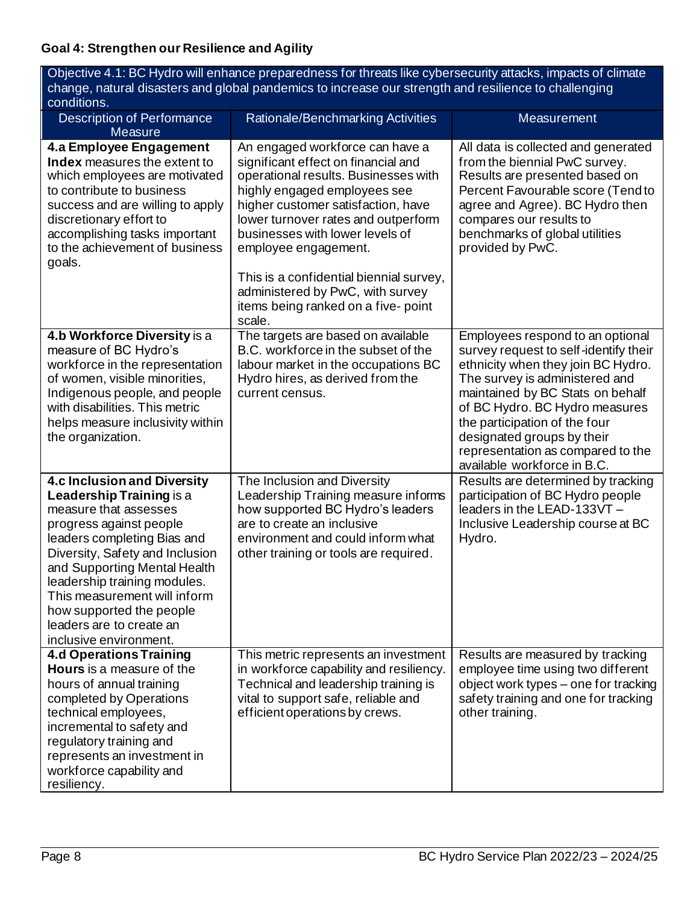| conditions.                                                                                                                                                                                                                                                                                                                                                                   |                                                                                                                                                                                                                                                                                                                                                                                                                       |                                                                                                                                                                                                                                                                                                                                                            |
|-------------------------------------------------------------------------------------------------------------------------------------------------------------------------------------------------------------------------------------------------------------------------------------------------------------------------------------------------------------------------------|-----------------------------------------------------------------------------------------------------------------------------------------------------------------------------------------------------------------------------------------------------------------------------------------------------------------------------------------------------------------------------------------------------------------------|------------------------------------------------------------------------------------------------------------------------------------------------------------------------------------------------------------------------------------------------------------------------------------------------------------------------------------------------------------|
| <b>Description of Performance</b><br><b>Measure</b>                                                                                                                                                                                                                                                                                                                           | Rationale/Benchmarking Activities                                                                                                                                                                                                                                                                                                                                                                                     | Measurement                                                                                                                                                                                                                                                                                                                                                |
| 4.a Employee Engagement<br>Index measures the extent to<br>which employees are motivated<br>to contribute to business<br>success and are willing to apply<br>discretionary effort to<br>accomplishing tasks important<br>to the achievement of business<br>goals.                                                                                                             | An engaged workforce can have a<br>significant effect on financial and<br>operational results. Businesses with<br>highly engaged employees see<br>higher customer satisfaction, have<br>lower turnover rates and outperform<br>businesses with lower levels of<br>employee engagement.<br>This is a confidential biennial survey,<br>administered by PwC, with survey<br>items being ranked on a five-point<br>scale. | All data is collected and generated<br>from the biennial PwC survey.<br>Results are presented based on<br>Percent Favourable score (Tend to<br>agree and Agree). BC Hydro then<br>compares our results to<br>benchmarks of global utilities<br>provided by PwC.                                                                                            |
| 4.b Workforce Diversity is a<br>measure of BC Hydro's<br>workforce in the representation<br>of women, visible minorities,<br>Indigenous people, and people<br>with disabilities. This metric<br>helps measure inclusivity within<br>the organization.                                                                                                                         | The targets are based on available<br>B.C. workforce in the subset of the<br>labour market in the occupations BC<br>Hydro hires, as derived from the<br>current census.                                                                                                                                                                                                                                               | Employees respond to an optional<br>survey request to self-identify their<br>ethnicity when they join BC Hydro.<br>The survey is administered and<br>maintained by BC Stats on behalf<br>of BC Hydro. BC Hydro measures<br>the participation of the four<br>designated groups by their<br>representation as compared to the<br>available workforce in B.C. |
| <b>4.c Inclusion and Diversity</b><br><b>Leadership Training is a</b><br>measure that assesses<br>progress against people<br>leaders completing Bias and<br>Diversity, Safety and Inclusion<br>and Supporting Mental Health<br>leadership training modules.<br>This measurement will inform<br>how supported the people<br>leaders are to create an<br>inclusive environment. | The Inclusion and Diversity<br>Leadership Training measure informs<br>how supported BC Hydro's leaders<br>are to create an inclusive<br>environment and could inform what<br>other training or tools are required.                                                                                                                                                                                                    | Results are determined by tracking<br>participation of BC Hydro people<br>leaders in the LEAD-133VT -<br>Inclusive Leadership course at BC<br>Hydro.                                                                                                                                                                                                       |
| <b>4.d Operations Training</b><br><b>Hours</b> is a measure of the<br>hours of annual training<br>completed by Operations<br>technical employees,<br>incremental to safety and<br>regulatory training and<br>represents an investment in<br>workforce capability and<br>resiliency.                                                                                           | This metric represents an investment<br>in workforce capability and resiliency.<br>Technical and leadership training is<br>vital to support safe, reliable and<br>efficient operations by crews.                                                                                                                                                                                                                      | Results are measured by tracking<br>employee time using two different<br>object work types - one for tracking<br>safety training and one for tracking<br>other training.                                                                                                                                                                                   |

Objective 4.1: BC Hydro will enhance preparedness for threats like cybersecurity attacks, impacts of climate change, natural disasters and global pandemics to increase our strength and resilience to challenging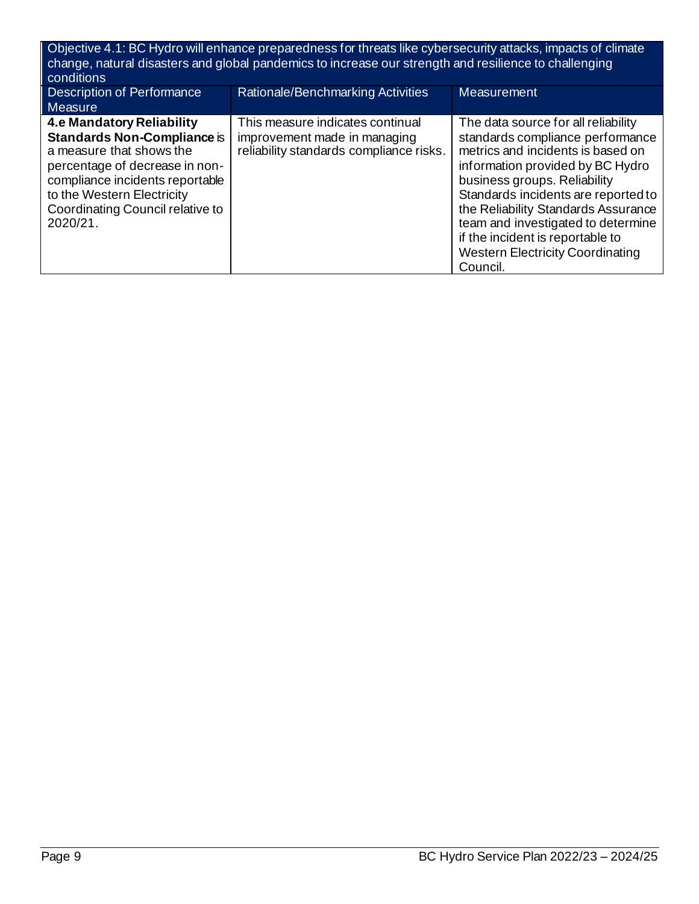| Objective 4.1: BC Hydro will enhance preparedness for threats like cybersecurity attacks, impacts of climate<br>change, natural disasters and global pandemics to increase our strength and resilience to challenging<br>conditions            |                                                                                                             |                                                                                                                                                                                                                                                                                                                                                                                                 |  |
|------------------------------------------------------------------------------------------------------------------------------------------------------------------------------------------------------------------------------------------------|-------------------------------------------------------------------------------------------------------------|-------------------------------------------------------------------------------------------------------------------------------------------------------------------------------------------------------------------------------------------------------------------------------------------------------------------------------------------------------------------------------------------------|--|
| Description of Performance<br><b>Measure</b>                                                                                                                                                                                                   | Rationale/Benchmarking Activities                                                                           | <b>Measurement</b>                                                                                                                                                                                                                                                                                                                                                                              |  |
| <b>4.e Mandatory Reliability</b><br>Standards Non-Compliance is<br>a measure that shows the<br>percentage of decrease in non-<br>compliance incidents reportable<br>to the Western Electricity<br>Coordinating Council relative to<br>2020/21. | This measure indicates continual<br>improvement made in managing<br>reliability standards compliance risks. | The data source for all reliability<br>standards compliance performance<br>metrics and incidents is based on<br>information provided by BC Hydro<br>business groups. Reliability<br>Standards incidents are reported to<br>the Reliability Standards Assurance<br>team and investigated to determine<br>if the incident is reportable to<br><b>Western Electricity Coordinating</b><br>Council. |  |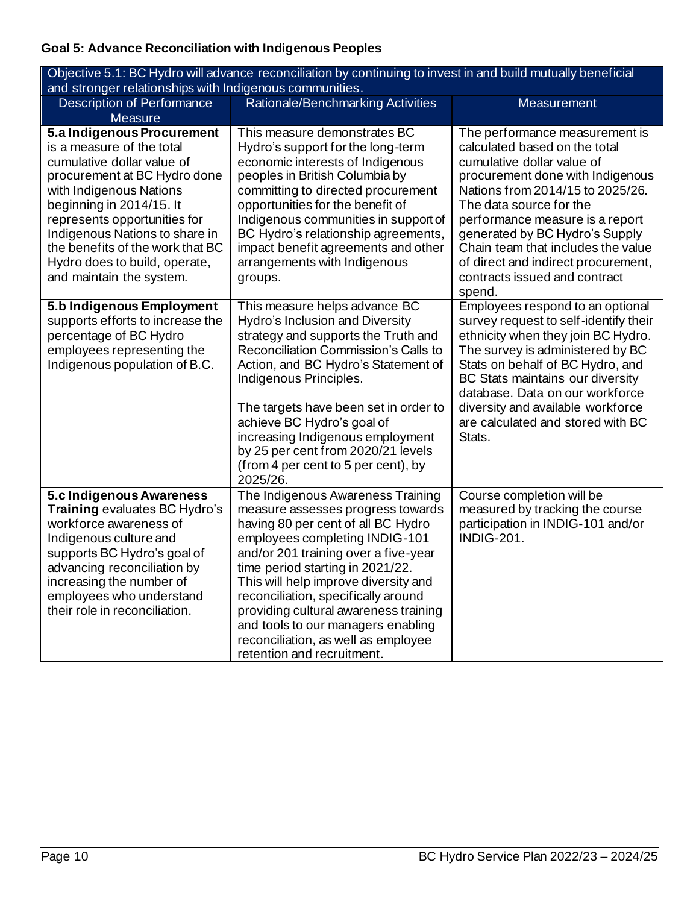## **Goal 5: Advance Reconciliation with Indigenous Peoples**

| Objective 5.1: BC Hydro will advance reconciliation by continuing to invest in and build mutually beneficial<br>and stronger relationships with Indigenous communities.                                                                                                                                                                         |                                                                                                                                                                                                                                                                                                                                                                                                                                                               |                                                                                                                                                                                                                                                                                                                                                                                               |  |
|-------------------------------------------------------------------------------------------------------------------------------------------------------------------------------------------------------------------------------------------------------------------------------------------------------------------------------------------------|---------------------------------------------------------------------------------------------------------------------------------------------------------------------------------------------------------------------------------------------------------------------------------------------------------------------------------------------------------------------------------------------------------------------------------------------------------------|-----------------------------------------------------------------------------------------------------------------------------------------------------------------------------------------------------------------------------------------------------------------------------------------------------------------------------------------------------------------------------------------------|--|
| <b>Description of Performance</b><br>Measure                                                                                                                                                                                                                                                                                                    | Rationale/Benchmarking Activities                                                                                                                                                                                                                                                                                                                                                                                                                             | <b>Measurement</b>                                                                                                                                                                                                                                                                                                                                                                            |  |
| 5.a Indigenous Procurement<br>is a measure of the total<br>cumulative dollar value of<br>procurement at BC Hydro done<br>with Indigenous Nations<br>beginning in 2014/15. It<br>represents opportunities for<br>Indigenous Nations to share in<br>the benefits of the work that BC<br>Hydro does to build, operate,<br>and maintain the system. | This measure demonstrates BC<br>Hydro's support for the long-term<br>economic interests of Indigenous<br>peoples in British Columbia by<br>committing to directed procurement<br>opportunities for the benefit of<br>Indigenous communities in support of<br>BC Hydro's relationship agreements,<br>impact benefit agreements and other<br>arrangements with Indigenous<br>groups.                                                                            | The performance measurement is<br>calculated based on the total<br>cumulative dollar value of<br>procurement done with Indigenous<br>Nations from 2014/15 to 2025/26.<br>The data source for the<br>performance measure is a report<br>generated by BC Hydro's Supply<br>Chain team that includes the value<br>of direct and indirect procurement,<br>contracts issued and contract<br>spend. |  |
| 5.b Indigenous Employment<br>supports efforts to increase the<br>percentage of BC Hydro<br>employees representing the<br>Indigenous population of B.C.                                                                                                                                                                                          | This measure helps advance BC<br>Hydro's Inclusion and Diversity<br>strategy and supports the Truth and<br>Reconciliation Commission's Calls to<br>Action, and BC Hydro's Statement of<br>Indigenous Principles.<br>The targets have been set in order to<br>achieve BC Hydro's goal of<br>increasing Indigenous employment<br>by 25 per cent from 2020/21 levels<br>(from 4 per cent to 5 per cent), by<br>2025/26.                                          | Employees respond to an optional<br>survey request to self-identify their<br>ethnicity when they join BC Hydro.<br>The survey is administered by BC<br>Stats on behalf of BC Hydro, and<br>BC Stats maintains our diversity<br>database. Data on our workforce<br>diversity and available workforce<br>are calculated and stored with BC<br>Stats.                                            |  |
| 5.c Indigenous Awareness<br><b>Training evaluates BC Hydro's</b><br>workforce awareness of<br>Indigenous culture and<br>supports BC Hydro's goal of<br>advancing reconciliation by<br>increasing the number of<br>employees who understand<br>their role in reconciliation.                                                                     | The Indigenous Awareness Training<br>measure assesses progress towards<br>having 80 per cent of all BC Hydro<br>employees completing INDIG-101<br>and/or 201 training over a five-year<br>time period starting in 2021/22.<br>This will help improve diversity and<br>reconciliation, specifically around<br>providing cultural awareness training<br>and tools to our managers enabling<br>reconciliation, as well as employee<br>retention and recruitment. | Course completion will be<br>measured by tracking the course<br>participation in INDIG-101 and/or<br><b>INDIG-201.</b>                                                                                                                                                                                                                                                                        |  |